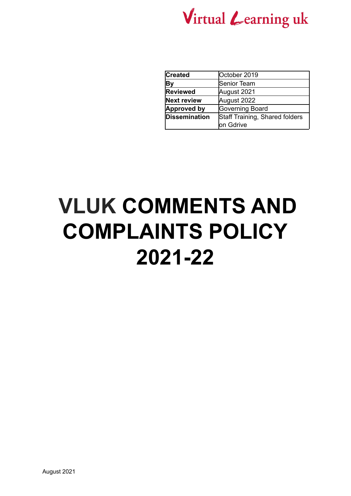

| <b>Created</b>       | October 2019                   |  |  |
|----------------------|--------------------------------|--|--|
| lВу                  | Senior Team                    |  |  |
| <b>Reviewed</b>      | August 2021                    |  |  |
| <b>Next review</b>   | August 2022                    |  |  |
| <b>Approved by</b>   | Governing Board                |  |  |
| <b>Dissemination</b> | Staff Training, Shared folders |  |  |
|                      | lon Gdrive                     |  |  |

# **VLUK COMMENTS AND COMPLAINTS POLICY 2021-22**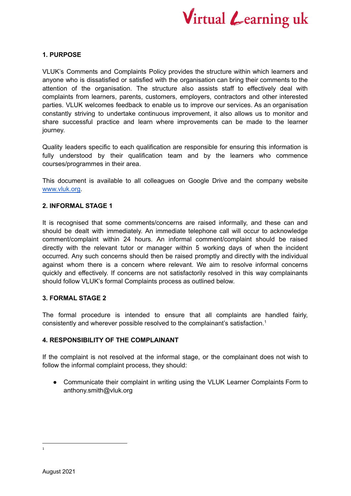

### **1. PURPOSE**

VLUK's Comments and Complaints Policy provides the structure within which learners and anyone who is dissatisfied or satisfied with the organisation can bring their comments to the attention of the organisation. The structure also assists staff to effectively deal with complaints from learners, parents, customers, employers, contractors and other interested parties. VLUK welcomes feedback to enable us to improve our services. As an organisation constantly striving to undertake continuous improvement, it also allows us to monitor and share successful practice and learn where improvements can be made to the learner journey.

Quality leaders specific to each qualification are responsible for ensuring this information is fully understood by their qualification team and by the learners who commence courses/programmes in their area.

This document is available to all colleagues on Google Drive and the company website [www.vluk.org.](http://www.vluk.org)

#### **2. INFORMAL STAGE 1**

It is recognised that some comments/concerns are raised informally, and these can and should be dealt with immediately. An immediate telephone call will occur to acknowledge comment/complaint within 24 hours. An informal comment/complaint should be raised directly with the relevant tutor or manager within 5 working days of when the incident occurred. Any such concerns should then be raised promptly and directly with the individual against whom there is a concern where relevant. We aim to resolve informal concerns quickly and effectively. If concerns are not satisfactorily resolved in this way complainants should follow VLUK's formal Complaints process as outlined below.

### **3. FORMAL STAGE 2**

The formal procedure is intended to ensure that all complaints are handled fairly, consistently and wherever possible resolved to the complainant's satisfaction. 1

### **4. RESPONSIBILITY OF THE COMPLAINANT**

If the complaint is not resolved at the informal stage, or the complainant does not wish to follow the informal complaint process, they should:

• Communicate their complaint in writing using the VLUK Learner Complaints Form to anthony.smith@vluk.org

<sup>1</sup>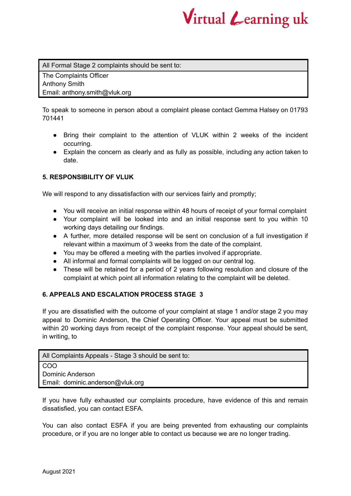

All Formal Stage 2 complaints should be sent to:

The Complaints Officer Anthony Smith Email: anthony.smith@vluk.org

To speak to someone in person about a complaint please contact Gemma Halsey on 01793 701441

- Bring their complaint to the attention of VLUK within 2 weeks of the incident occurring.
- Explain the concern as clearly and as fully as possible, including any action taken to date.

## **5. RESPONSIBILITY OF VLUK**

We will respond to any dissatisfaction with our services fairly and promptly;

- You will receive an initial response within 48 hours of receipt of your formal complaint
- Your complaint will be looked into and an initial response sent to you within 10 working days detailing our findings.
- A further, more detailed response will be sent on conclusion of a full investigation if relevant within a maximum of 3 weeks from the date of the complaint.
- You may be offered a meeting with the parties involved if appropriate.
- All informal and formal complaints will be logged on our central log.
- These will be retained for a period of 2 years following resolution and closure of the complaint at which point all information relating to the complaint will be deleted.

### **6. APPEALS AND ESCALATION PROCESS STAGE 3**

If you are dissatisfied with the outcome of your complaint at stage 1 and/or stage 2 you may appeal to Dominic Anderson, the Chief Operating Officer. Your appeal must be submitted within 20 working days from receipt of the complaint response. Your appeal should be sent, in writing, to

| All Complaints Appeals - Stage 3 should be sent to: |  |  |  |
|-----------------------------------------------------|--|--|--|
| <b>COO</b>                                          |  |  |  |
| Dominic Anderson                                    |  |  |  |
| Email: dominic.anderson@vluk.org                    |  |  |  |
|                                                     |  |  |  |

If you have fully exhausted our complaints procedure, have evidence of this and remain dissatisfied, you can contact ESFA.

You can also contact ESFA if you are being prevented from exhausting our complaints procedure, or if you are no longer able to contact us because we are no longer trading.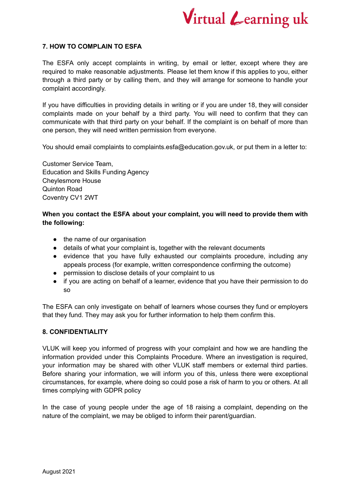

### **7. HOW TO COMPLAIN TO ESFA**

The ESFA only accept complaints in writing, by email or letter, except where they are required to make reasonable adjustments. Please let them know if this applies to you, either through a third party or by calling them, and they will arrange for someone to handle your complaint accordingly.

If you have difficulties in providing details in writing or if you are under 18, they will consider complaints made on your behalf by a third party. You will need to confirm that they can communicate with that third party on your behalf. If the complaint is on behalf of more than one person, they will need written permission from everyone.

You should email complaints to complaints.esfa@education.gov.uk, or put them in a letter to:

Customer Service Team, Education and Skills Funding Agency Cheylesmore House Quinton Road Coventry CV1 2WT

## **When you contact the ESFA about your complaint, you will need to provide them with the following:**

- the name of our organisation
- details of what your complaint is, together with the relevant documents
- evidence that you have fully exhausted our complaints procedure, including any appeals process (for example, written correspondence confirming the outcome)
- permission to disclose details of your complaint to us
- if you are acting on behalf of a learner, evidence that you have their permission to do so

The ESFA can only investigate on behalf of learners whose courses they fund or employers that they fund. They may ask you for further information to help them confirm this.

### **8. CONFIDENTIALITY**

VLUK will keep you informed of progress with your complaint and how we are handling the information provided under this Complaints Procedure. Where an investigation is required, your information may be shared with other VLUK staff members or external third parties. Before sharing your information, we will inform you of this, unless there were exceptional circumstances, for example, where doing so could pose a risk of harm to you or others. At all times complying with GDPR policy

In the case of young people under the age of 18 raising a complaint, depending on the nature of the complaint, we may be obliged to inform their parent/guardian.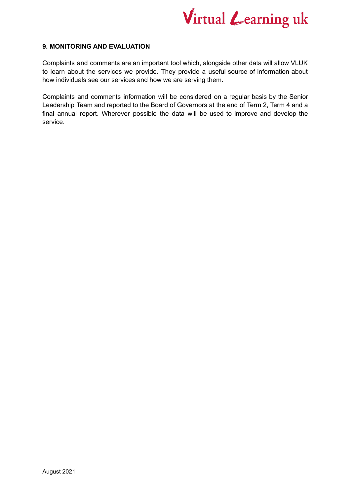

### **9. MONITORING AND EVALUATION**

Complaints and comments are an important tool which, alongside other data will allow VLUK to learn about the services we provide. They provide a useful source of information about how individuals see our services and how we are serving them.

Complaints and comments information will be considered on a regular basis by the Senior Leadership Team and reported to the Board of Governors at the end of Term 2, Term 4 and a final annual report. Wherever possible the data will be used to improve and develop the service.